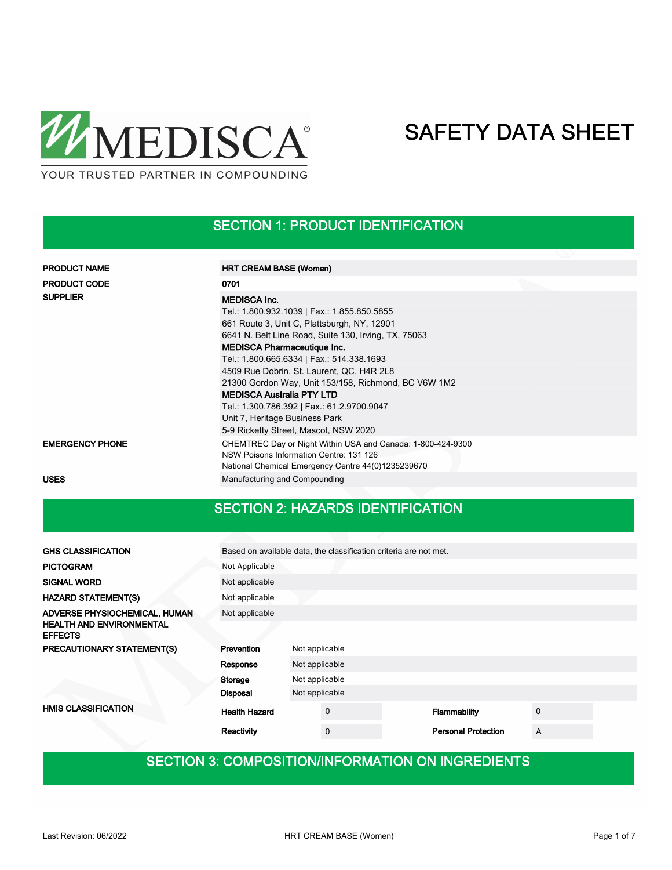

### SECTION 1: PRODUCT IDENTIFICATION

| <b>PRODUCT NAME</b>    | <b>HRT CREAM BASE (Women)</b>                                                                                                                                                                                                                                                                                                                                                                                                                                                                                                  |
|------------------------|--------------------------------------------------------------------------------------------------------------------------------------------------------------------------------------------------------------------------------------------------------------------------------------------------------------------------------------------------------------------------------------------------------------------------------------------------------------------------------------------------------------------------------|
| <b>PRODUCT CODE</b>    | 0701                                                                                                                                                                                                                                                                                                                                                                                                                                                                                                                           |
| <b>SUPPLIER</b>        | <b>MEDISCA Inc.</b><br>Tel.: 1.800.932.1039   Fax.: 1.855.850.5855<br>661 Route 3, Unit C, Plattsburgh, NY, 12901<br>6641 N. Belt Line Road, Suite 130, Irving, TX, 75063<br><b>MEDISCA Pharmaceutique Inc.</b><br>Tel.: 1.800.665.6334   Fax.: 514.338.1693<br>4509 Rue Dobrin, St. Laurent, QC, H4R 2L8<br>21300 Gordon Way, Unit 153/158, Richmond, BC V6W 1M2<br><b>MEDISCA Australia PTY LTD</b><br>Tel.: 1.300.786.392   Fax.: 61.2.9700.9047<br>Unit 7, Heritage Business Park<br>5-9 Ricketty Street, Mascot, NSW 2020 |
| <b>EMERGENCY PHONE</b> | CHEMTREC Day or Night Within USA and Canada: 1-800-424-9300<br>NSW Poisons Information Centre: 131 126<br>National Chemical Emergency Centre 44(0)1235239670                                                                                                                                                                                                                                                                                                                                                                   |
| <b>USES</b>            | Manufacturing and Compounding                                                                                                                                                                                                                                                                                                                                                                                                                                                                                                  |

### SECTION 2: HAZARDS IDENTIFICATION

| <b>GHS CLASSIFICATION</b>                         |                      | Based on available data, the classification criteria are not met. |                            |   |  |  |
|---------------------------------------------------|----------------------|-------------------------------------------------------------------|----------------------------|---|--|--|
| <b>PICTOGRAM</b>                                  | Not Applicable       |                                                                   |                            |   |  |  |
| <b>SIGNAL WORD</b>                                | Not applicable       |                                                                   |                            |   |  |  |
| <b>HAZARD STATEMENT(S)</b>                        | Not applicable       |                                                                   |                            |   |  |  |
| ADVERSE PHYSIOCHEMICAL, HUMAN                     | Not applicable       |                                                                   |                            |   |  |  |
| <b>HEALTH AND ENVIRONMENTAL</b><br><b>EFFECTS</b> |                      |                                                                   |                            |   |  |  |
| PRECAUTIONARY STATEMENT(S)                        | Prevention           | Not applicable                                                    |                            |   |  |  |
|                                                   | Response             | Not applicable                                                    |                            |   |  |  |
|                                                   | Storage              | Not applicable                                                    |                            |   |  |  |
|                                                   | <b>Disposal</b>      | Not applicable                                                    |                            |   |  |  |
| <b>HMIS CLASSIFICATION</b>                        | <b>Health Hazard</b> | $\mathbf 0$                                                       | Flammability               | 0 |  |  |
|                                                   | Reactivity           | $\mathbf 0$                                                       | <b>Personal Protection</b> | A |  |  |

## SECTION 3: COMPOSITION/INFORMATION ON INGREDIENTS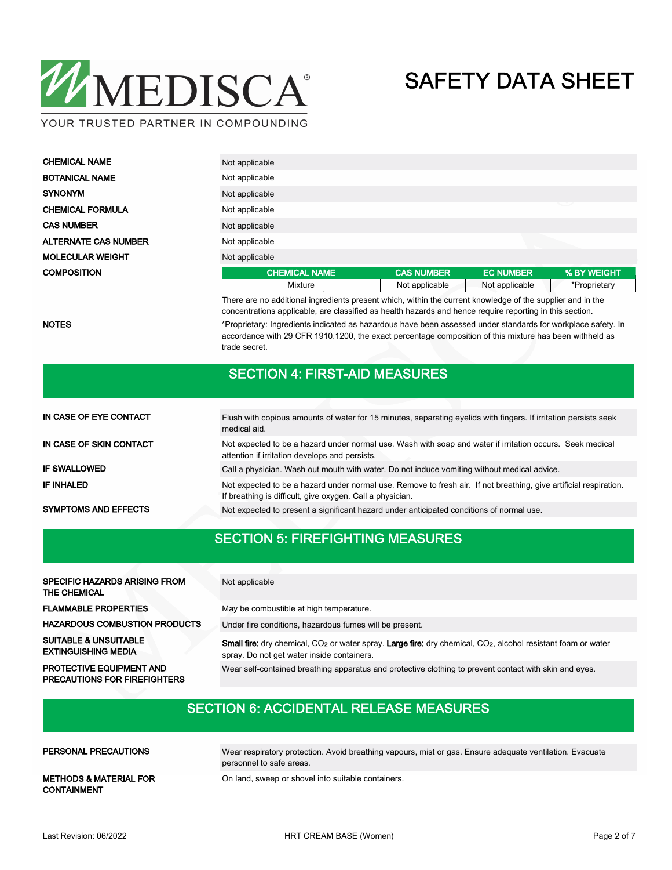

| <b>CHEMICAL NAME</b>        | Not applicable       |                   |                  |              |
|-----------------------------|----------------------|-------------------|------------------|--------------|
| <b>BOTANICAL NAME</b>       | Not applicable       |                   |                  |              |
| <b>SYNONYM</b>              | Not applicable       |                   |                  |              |
| <b>CHEMICAL FORMULA</b>     | Not applicable       |                   |                  | ╰            |
| <b>CAS NUMBER</b>           | Not applicable       |                   |                  |              |
| <b>ALTERNATE CAS NUMBER</b> | Not applicable       |                   |                  |              |
| <b>MOLECULAR WEIGHT</b>     | Not applicable       |                   |                  |              |
| <b>COMPOSITION</b>          | <b>CHEMICAL NAME</b> | <b>CAS NUMBER</b> | <b>EC NUMBER</b> | % BY WEIGHT  |
|                             | Mixture              | Not applicable    | Not applicable   | *Proprietary |

There are no additional ingredients present which, within the current knowledge of the supplier and in the concentrations applicable, are classified as health hazards and hence require reporting in this section.

NOTES **\***Proprietary: Ingredients indicated as hazardous have been assessed under standards for workplace safety. In accordance with 29 CFR 1910.1200, the exact percentage composition of this mixture has been withheld as trade secret.

### SECTION 4: FIRST-AID MEASURES

| IN CASE OF EYE CONTACT      | Flush with copious amounts of water for 15 minutes, separating eyelids with fingers. If irritation persists seek<br>medical aid.                                               |
|-----------------------------|--------------------------------------------------------------------------------------------------------------------------------------------------------------------------------|
| IN CASE OF SKIN CONTACT     | Not expected to be a hazard under normal use. Wash with soap and water if irritation occurs. Seek medical<br>attention if irritation develops and persists.                    |
| <b>IF SWALLOWED</b>         | Call a physician. Wash out mouth with water. Do not induce vomiting without medical advice.                                                                                    |
| <b>IF INHALED</b>           | Not expected to be a hazard under normal use. Remove to fresh air. If not breathing, give artificial respiration.<br>If breathing is difficult, give oxygen. Call a physician. |
| <b>SYMPTOMS AND EFFECTS</b> | Not expected to present a significant hazard under anticipated conditions of normal use.                                                                                       |

## SECTION 5: FIREFIGHTING MEASURES

| <b>SPECIFIC HAZARDS ARISING FROM</b><br>THE CHEMICAL                   | Not applicable                                                                                                                                                                             |
|------------------------------------------------------------------------|--------------------------------------------------------------------------------------------------------------------------------------------------------------------------------------------|
| <b>FLAMMABLE PROPERTIES</b>                                            | May be combustible at high temperature.                                                                                                                                                    |
| <b>HAZARDOUS COMBUSTION PRODUCTS</b>                                   | Under fire conditions, hazardous fumes will be present.                                                                                                                                    |
| <b>SUITABLE &amp; UNSUITABLE</b><br><b>EXTINGUISHING MEDIA</b>         | <b>Small fire:</b> dry chemical, CO <sub>2</sub> or water spray. Large fire: dry chemical, CO <sub>2</sub> , alcohol resistant foam or water<br>spray. Do not get water inside containers. |
| <b>PROTECTIVE EQUIPMENT AND</b><br><b>PRECAUTIONS FOR FIREFIGHTERS</b> | Wear self-contained breathing apparatus and protective clothing to prevent contact with skin and eyes.                                                                                     |

## SECTION 6: ACCIDENTAL RELEASE MEASURES

### PERSONAL PRECAUTIONS

Wear respiratory protection. Avoid breathing vapours, mist or gas. Ensure adequate ventilation. Evacuate personnel to safe areas.

CONTAINMENT

METHODS & MATERIAL FOR **On land, sweep or shovel into suitable containers.**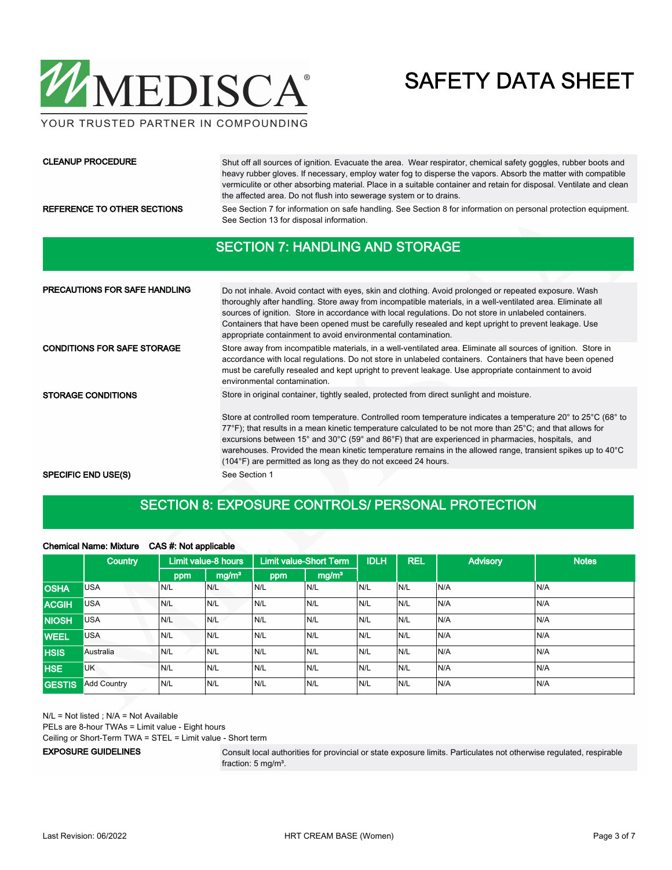

### CLEANUP PROCEDURE

Shut off all sources of ignition. Evacuate the area. Wear respirator, chemical safety goggles, rubber boots and heavy rubber gloves. If necessary, employ water fog to disperse the vapors. Absorb the matter with compatible vermiculite or other absorbing material. Place in a suitable container and retain for disposal. Ventilate and clean the affected area. Do not flush into sewerage system or to drains.

REFERENCE TO OTHER SECTIONS See Section 7 for information on safe handling. See Section 8 for information on personal protection equipment. See Section 13 for disposal information.

### SECTION 7: HANDLING AND STORAGE

| <b>PRECAUTIONS FOR SAFE HANDLING</b> | Do not inhale. Avoid contact with eyes, skin and clothing. Avoid prolonged or repeated exposure. Wash<br>thoroughly after handling. Store away from incompatible materials, in a well-ventilated area. Eliminate all<br>sources of ignition. Store in accordance with local regulations. Do not store in unlabeled containers.<br>Containers that have been opened must be carefully resealed and kept upright to prevent leakage. Use<br>appropriate containment to avoid environmental contamination.                                                                                                                                     |
|--------------------------------------|---------------------------------------------------------------------------------------------------------------------------------------------------------------------------------------------------------------------------------------------------------------------------------------------------------------------------------------------------------------------------------------------------------------------------------------------------------------------------------------------------------------------------------------------------------------------------------------------------------------------------------------------|
| <b>CONDITIONS FOR SAFE STORAGE</b>   | Store away from incompatible materials, in a well-ventilated area. Eliminate all sources of ignition. Store in<br>accordance with local regulations. Do not store in unlabeled containers. Containers that have been opened<br>must be carefully resealed and kept upright to prevent leakage. Use appropriate containment to avoid<br>environmental contamination.                                                                                                                                                                                                                                                                         |
| <b>STORAGE CONDITIONS</b>            | Store in original container, tightly sealed, protected from direct sunlight and moisture.<br>Store at controlled room temperature. Controlled room temperature indicates a temperature 20° to 25°C (68° to<br>$77^{\circ}$ F); that results in a mean kinetic temperature calculated to be not more than $25^{\circ}$ C; and that allows for<br>excursions between 15° and 30°C (59° and 86°F) that are experienced in pharmacies, hospitals, and<br>warehouses. Provided the mean kinetic temperature remains in the allowed range, transient spikes up to $40^{\circ}$ C<br>(104°F) are permitted as long as they do not exceed 24 hours. |
| <b>SPECIFIC END USE(S)</b>           | See Section 1                                                                                                                                                                                                                                                                                                                                                                                                                                                                                                                                                                                                                               |

## SECTION 8: EXPOSURE CONTROLS/ PERSONAL PROTECTION

### Chemical Name: Mixture CAS #: Not applicable

|               | <b>Country</b>     |     | Limit value-8 hours |     | <b>Limit value-Short Term</b> | <b>IDLH</b> | <b>REL</b> | <b>Advisory</b> | <b>Notes</b> |
|---------------|--------------------|-----|---------------------|-----|-------------------------------|-------------|------------|-----------------|--------------|
|               |                    | ppm | mg/m <sup>3</sup>   | ppm | mg/m <sup>3</sup>             |             |            |                 |              |
| <b>OSHA</b>   | USA                | N/L | N/L                 | N/L | N/L                           | N/L         | N/L        | N/A             | N/A          |
| <b>ACGIH</b>  | <b>USA</b>         | N/L | N/L                 | N/L | N/L                           | N/L         | N/L        | N/A             | N/A          |
| <b>NIOSH</b>  | <b>USA</b>         | N/L | N/L                 | N/L | N/L                           | N/L         | N/L        | N/A             | N/A          |
| <b>WEEL</b>   | USA                | N/L | N/L                 | N/L | N/L                           | N/L         | N/L        | N/A             | N/A          |
| <b>HSIS</b>   | Australia          | N/L | N/L                 | N/L | N/L                           | N/L         | N/L        | N/A             | N/A          |
| <b>HSE</b>    | <b>UK</b>          | N/L | N/L                 | N/L | N/L                           | N/L         | N/L        | N/A             | N/A          |
| <b>GESTIS</b> | <b>Add Country</b> | N/L | N/L                 | N/L | N/L                           | N/L         | N/L        | N/A             | N/A          |

N/L = Not listed ; N/A = Not Available

PELs are 8-hour TWAs = Limit value - Eight hours

Ceiling or Short-Term TWA = STEL = Limit value - Short term

### EXPOSURE GUIDELINES

Consult local authorities for provincial or state exposure limits. Particulates not otherwise regulated, respirable fraction: 5 mg/m<sup>3</sup>.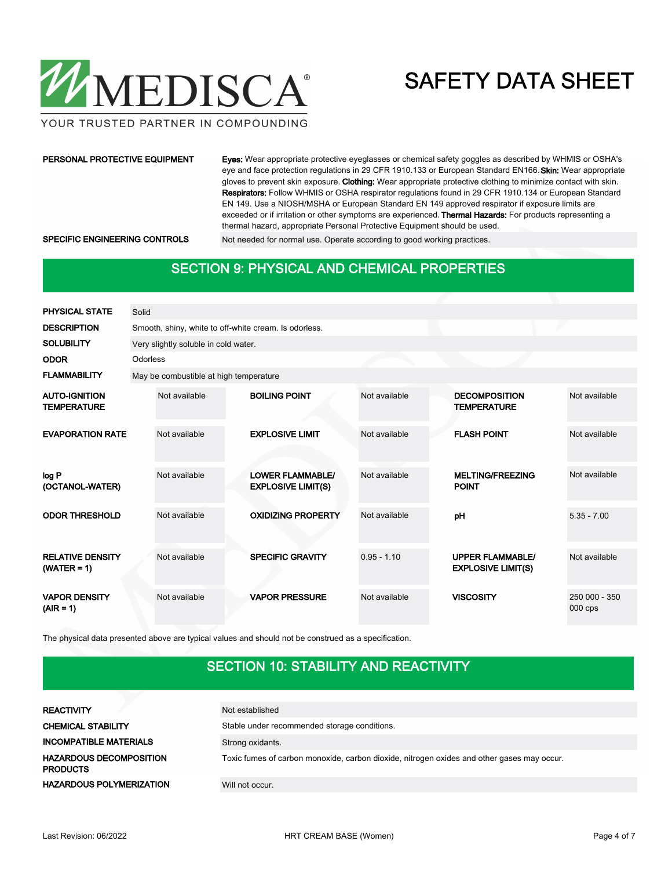

YOUR TRUSTED PARTNER IN COMPOUNDING

### PERSONAL PROTECTIVE EQUIPMENT

Eyes: Wear appropriate protective eyeglasses or chemical safety goggles as described by WHMIS or OSHA's eye and face protection regulations in 29 CFR 1910.133 or European Standard EN166. Skin: Wear appropriate gloves to prevent skin exposure. Clothing: Wear appropriate protective clothing to minimize contact with skin. Respirators: Follow WHMIS or OSHA respirator regulations found in 29 CFR 1910.134 or European Standard EN 149. Use a NIOSH/MSHA or European Standard EN 149 approved respirator if exposure limits are exceeded or if irritation or other symptoms are experienced. Thermal Hazards: For products representing a thermal hazard, appropriate Personal Protective Equipment should be used.

SPECIFIC ENGINEERING CONTROLS Not needed for normal use. Operate according to good working practices.

### SECTION 9: PHYSICAL AND CHEMICAL PROPERTIES

| <b>PHYSICAL STATE</b>                      | Solid    |                                        |                                                       |               |                                                      |                            |
|--------------------------------------------|----------|----------------------------------------|-------------------------------------------------------|---------------|------------------------------------------------------|----------------------------|
| <b>DESCRIPTION</b>                         |          |                                        | Smooth, shiny, white to off-white cream. Is odorless. |               |                                                      |                            |
| <b>SOLUBILITY</b>                          |          | Very slightly soluble in cold water.   |                                                       |               |                                                      |                            |
| <b>ODOR</b>                                | Odorless |                                        |                                                       |               |                                                      |                            |
| <b>FLAMMABILITY</b>                        |          | May be combustible at high temperature |                                                       |               |                                                      |                            |
| <b>AUTO-IGNITION</b><br><b>TEMPERATURE</b> |          | Not available                          | <b>BOILING POINT</b>                                  | Not available | <b>DECOMPOSITION</b><br><b>TEMPERATURE</b>           | Not available              |
| <b>EVAPORATION RATE</b>                    |          | Not available                          | <b>EXPLOSIVE LIMIT</b>                                | Not available | <b>FLASH POINT</b>                                   | Not available              |
| log P<br>(OCTANOL-WATER)                   |          | Not available                          | <b>LOWER FLAMMABLE/</b><br><b>EXPLOSIVE LIMIT(S)</b>  | Not available | <b>MELTING/FREEZING</b><br><b>POINT</b>              | Not available              |
| <b>ODOR THRESHOLD</b>                      |          | Not available                          | <b>OXIDIZING PROPERTY</b>                             | Not available | pH                                                   | $5.35 - 7.00$              |
| <b>RELATIVE DENSITY</b><br>$(WATER = 1)$   |          | Not available                          | <b>SPECIFIC GRAVITY</b>                               | $0.95 - 1.10$ | <b>UPPER FLAMMABLE/</b><br><b>EXPLOSIVE LIMIT(S)</b> | Not available              |
| <b>VAPOR DENSITY</b><br>$(AIR = 1)$        |          | Not available                          | <b>VAPOR PRESSURE</b>                                 | Not available | <b>VISCOSITY</b>                                     | 250 000 - 350<br>$000$ cps |

The physical data presented above are typical values and should not be construed as a specification.

# SECTION 10: STABILITY AND REACTIVITY

| <b>REACTIVITY</b>                                 | Not established                                                                            |
|---------------------------------------------------|--------------------------------------------------------------------------------------------|
| <b>CHEMICAL STABILITY</b>                         | Stable under recommended storage conditions.                                               |
| <b>INCOMPATIBLE MATERIALS</b>                     | Strong oxidants.                                                                           |
| <b>HAZARDOUS DECOMPOSITION</b><br><b>PRODUCTS</b> | Toxic fumes of carbon monoxide, carbon dioxide, nitrogen oxides and other gases may occur. |
| <b>HAZARDOUS POLYMERIZATION</b>                   | Will not occur.                                                                            |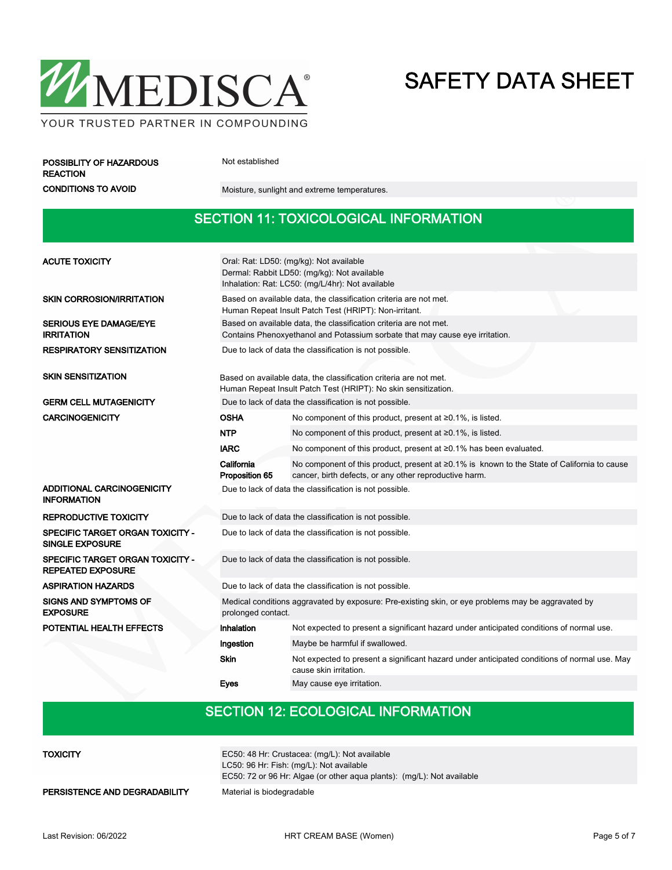

POSSIBLITY OF HAZARDOUS Not established REACTION

CONDITIONS TO AVOID Moisture, sunlight and extreme temperatures.

## SECTION 11: TOXICOLOGICAL INFORMATION

| <b>ACUTE TOXICITY</b>                                             | Oral: Rat: LD50: (mg/kg): Not available<br>Dermal: Rabbit LD50: (mg/kg): Not available<br>Inhalation: Rat: LC50: (mg/L/4hr): Not available        |                                                                                                                                                       |  |  |  |
|-------------------------------------------------------------------|---------------------------------------------------------------------------------------------------------------------------------------------------|-------------------------------------------------------------------------------------------------------------------------------------------------------|--|--|--|
| <b>SKIN CORROSION/IRRITATION</b>                                  | Based on available data, the classification criteria are not met.<br>Human Repeat Insult Patch Test (HRIPT): Non-irritant.                        |                                                                                                                                                       |  |  |  |
| <b>SERIOUS EYE DAMAGE/EYE</b><br><b>IRRITATION</b>                | Based on available data, the classification criteria are not met.<br>Contains Phenoxyethanol and Potassium sorbate that may cause eye irritation. |                                                                                                                                                       |  |  |  |
| <b>RESPIRATORY SENSITIZATION</b>                                  | Due to lack of data the classification is not possible.                                                                                           |                                                                                                                                                       |  |  |  |
| <b>SKIN SENSITIZATION</b>                                         |                                                                                                                                                   | Based on available data, the classification criteria are not met.<br>Human Repeat Insult Patch Test (HRIPT): No skin sensitization.                   |  |  |  |
| <b>GERM CELL MUTAGENICITY</b>                                     |                                                                                                                                                   | Due to lack of data the classification is not possible.                                                                                               |  |  |  |
| <b>CARCINOGENICITY</b>                                            | <b>OSHA</b>                                                                                                                                       | No component of this product, present at $\geq 0.1\%$ , is listed.                                                                                    |  |  |  |
|                                                                   | <b>NTP</b>                                                                                                                                        | No component of this product, present at $\geq 0.1\%$ , is listed.                                                                                    |  |  |  |
|                                                                   | <b>IARC</b><br>No component of this product, present at ≥0.1% has been evaluated.                                                                 |                                                                                                                                                       |  |  |  |
|                                                                   | California<br>Proposition 65                                                                                                                      | No component of this product, present at ≥0.1% is known to the State of California to cause<br>cancer, birth defects, or any other reproductive harm. |  |  |  |
| ADDITIONAL CARCINOGENICITY<br><b>INFORMATION</b>                  |                                                                                                                                                   | Due to lack of data the classification is not possible.                                                                                               |  |  |  |
| <b>REPRODUCTIVE TOXICITY</b>                                      |                                                                                                                                                   | Due to lack of data the classification is not possible.                                                                                               |  |  |  |
| <b>SPECIFIC TARGET ORGAN TOXICITY -</b><br><b>SINGLE EXPOSURE</b> | Due to lack of data the classification is not possible.                                                                                           |                                                                                                                                                       |  |  |  |
| SPECIFIC TARGET ORGAN TOXICITY -<br><b>REPEATED EXPOSURE</b>      |                                                                                                                                                   | Due to lack of data the classification is not possible.                                                                                               |  |  |  |
| <b>ASPIRATION HAZARDS</b>                                         |                                                                                                                                                   | Due to lack of data the classification is not possible.                                                                                               |  |  |  |
| <b>SIGNS AND SYMPTOMS OF</b><br><b>EXPOSURE</b>                   | Medical conditions aggravated by exposure: Pre-existing skin, or eye problems may be aggravated by<br>prolonged contact.                          |                                                                                                                                                       |  |  |  |
| POTENTIAL HEALTH EFFECTS                                          | Inhalation                                                                                                                                        | Not expected to present a significant hazard under anticipated conditions of normal use.                                                              |  |  |  |
|                                                                   | Ingestion                                                                                                                                         | Maybe be harmful if swallowed.                                                                                                                        |  |  |  |
|                                                                   | <b>Skin</b>                                                                                                                                       | Not expected to present a significant hazard under anticipated conditions of normal use. May<br>cause skin irritation.                                |  |  |  |
|                                                                   | Eyes                                                                                                                                              | May cause eye irritation.                                                                                                                             |  |  |  |

## SECTION 12: ECOLOGICAL INFORMATION

| TOXICITY                      | EC50: 48 Hr: Crustacea: (mg/L): Not available                          |
|-------------------------------|------------------------------------------------------------------------|
|                               | LC50: 96 Hr: Fish: (mg/L): Not available                               |
|                               | EC50: 72 or 96 Hr: Algae (or other agua plants): (mg/L): Not available |
| PERSISTENCE AND DEGRADABILITY | Material is biodegradable                                              |
|                               |                                                                        |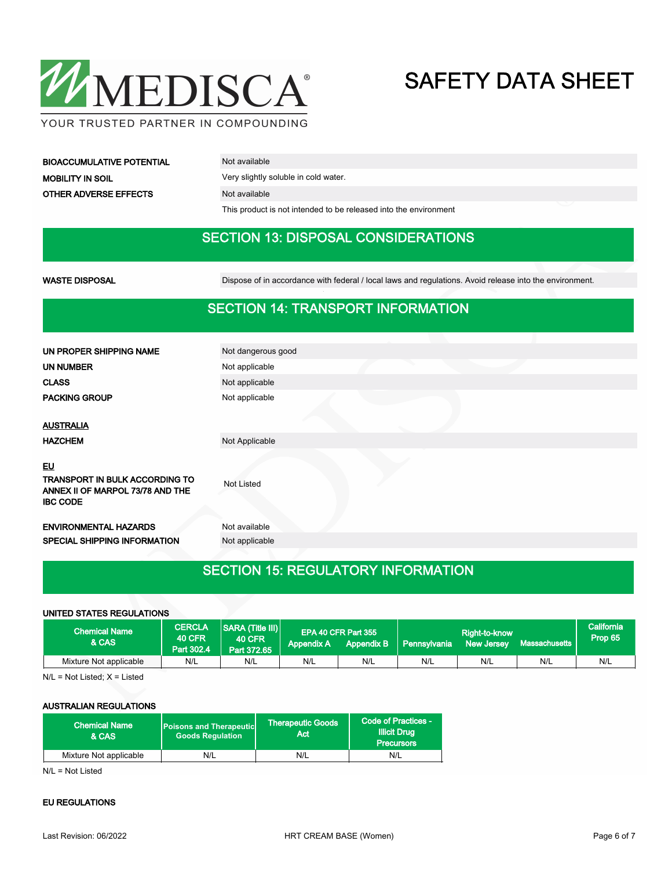

BIOACCUMULATIVE POTENTIAL Not available MOBILITY IN SOIL **WARE SOIL** Very slightly soluble in cold water. OTHER ADVERSE EFFECTS Not available

This product is not intended to be released into the environment

### SECTION 13: DISPOSAL CONSIDERATIONS

WASTE DISPOSAL **Dispose of in accordance with federal / local laws and regulations**. Avoid release into the environment.

### SECTION 14: TRANSPORT INFORMATION

| UN PROPER SHIPPING NAME                                                                            | Not dangerous good |
|----------------------------------------------------------------------------------------------------|--------------------|
| UN NUMBER                                                                                          | Not applicable     |
| <b>CLASS</b>                                                                                       | Not applicable     |
| <b>PACKING GROUP</b>                                                                               | Not applicable     |
| <b>AUSTRALIA</b>                                                                                   |                    |
| <b>HAZCHEM</b>                                                                                     | Not Applicable     |
| EU<br><b>TRANSPORT IN BULK ACCORDING TO</b><br>ANNEX II OF MARPOL 73/78 AND THE<br><b>IBC CODE</b> | Not Listed         |
| <b>ENVIRONMENTAL HAZARDS</b>                                                                       | Not available      |
| SPECIAL SHIPPING INFORMATION                                                                       | Not applicable     |
|                                                                                                    |                    |

## SECTION 15: REGULATORY INFORMATION

### UNITED STATES REGULATIONS

| <b>Chemical Name</b><br>& CAS | <b>CERCLA</b><br><b>40 CFR</b><br>Part 302.4 | <b>SARA (Title III)</b><br><b>40 CFR</b><br>Part 372.65 | <b>Appendix A</b> | EPA 40 CFR Part 355<br><b>Appendix B</b> | Pennsylvania | Right-to-know<br><b>New Jersey</b> | l Massachusetts ˈ | <b>California</b><br>Prop 65 |
|-------------------------------|----------------------------------------------|---------------------------------------------------------|-------------------|------------------------------------------|--------------|------------------------------------|-------------------|------------------------------|
| Mixture Not applicable        | N/L                                          | N/L                                                     | N/L               | N/L                                      | N/L          | N/L                                | N/L               | N/L                          |

N/L = Not Listed; X = Listed

### AUSTRALIAN REGULATIONS

| <b>Chemical Name</b><br>& CAS | <b>Poisons and Therapeutic</b><br><b>Goods Requlation</b> | Therapeutic Goods<br>Act | Code of Practices -<br><b>Illicit Drug</b><br><b>Precursors</b> |  |
|-------------------------------|-----------------------------------------------------------|--------------------------|-----------------------------------------------------------------|--|
| Mixture Not applicable        | N/L                                                       | N/L                      | N/L                                                             |  |

N/L = Not Listed

### EU REGULATIONS